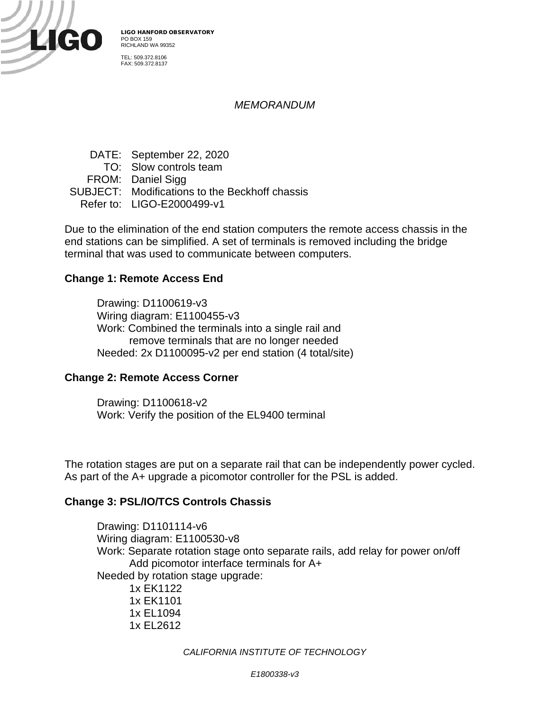

LIGO HANFORD OBSERVATORY PO BOX 159 RICHLAND WA 99352 TEL: 509.372.8106

FAX: 509.372.8137

## *MEMORANDUM*

DATE: September 22, 2020 TO: Slow controls team FROM: Daniel Sigg SUBJECT: Modifications to the Beckhoff chassis Refer to: LIGO-E2000499-v1

Due to the elimination of the end station computers the remote access chassis in the end stations can be simplified. A set of terminals is removed including the bridge terminal that was used to communicate between computers.

### **Change 1: Remote Access End**

Drawing: D1100619-v3 Wiring diagram: E1100455-v3 Work: Combined the terminals into a single rail and remove terminals that are no longer needed Needed: 2x D1100095-v2 per end station (4 total/site)

#### **Change 2: Remote Access Corner**

Drawing: D1100618-v2 Work: Verify the position of the EL9400 terminal

The rotation stages are put on a separate rail that can be independently power cycled. As part of the A+ upgrade a picomotor controller for the PSL is added.

#### **Change 3: PSL/IO/TCS Controls Chassis**

Drawing: D1101114-v6 Wiring diagram: E1100530-v8 Work: Separate rotation stage onto separate rails, add relay for power on/off Add picomotor interface terminals for A+ Needed by rotation stage upgrade: 1x EK1122 1x EK1101 1x EL1094

1x EL2612

*CALIFORNIA INSTITUTE OF TECHNOLOGY*